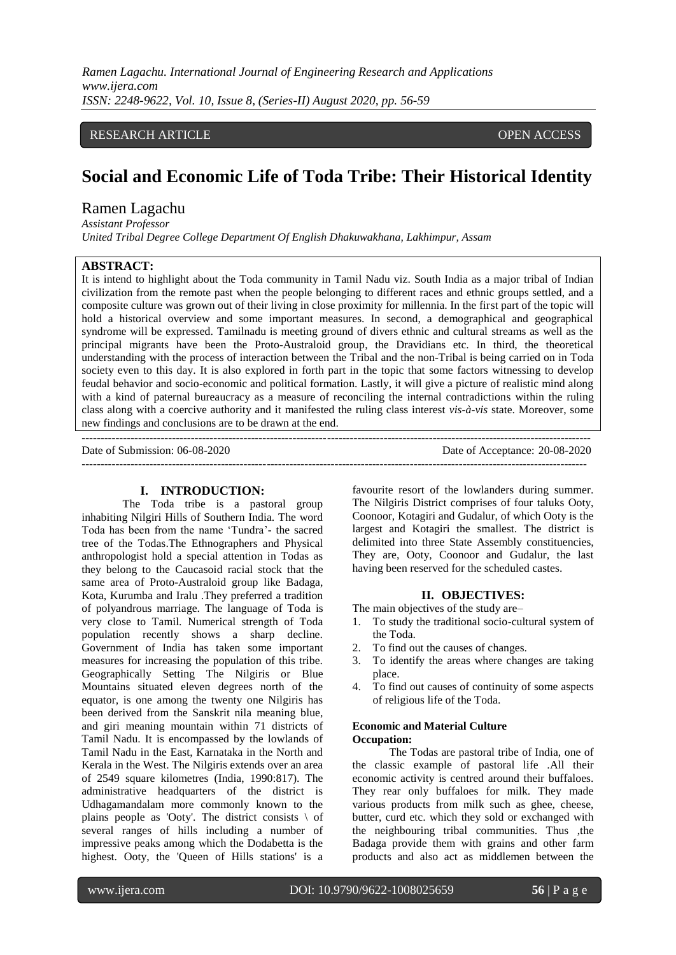*Ramen Lagachu. International Journal of Engineering Research and Applications www.ijera.com ISSN: 2248-9622, Vol. 10, Issue 8, (Series-II) August 2020, pp. 56-59*

# RESEARCH ARTICLE **CONTRACT ARTICLE** AND LOTE OPEN ACCESS OPEN ACCESS

# **Social and Economic Life of Toda Tribe: Their Historical Identity**

# Ramen Lagachu

*Assistant Professor United Tribal Degree College Department Of English Dhakuwakhana, Lakhimpur, Assam*

# **ABSTRACT:**

It is intend to highlight about the Toda community in Tamil Nadu viz. South India as a major tribal of Indian civilization from the remote past when the people belonging to different races and ethnic groups settled, and a composite culture was grown out of their living in close proximity for millennia. In the first part of the topic will hold a historical overview and some important measures. In second, a demographical and geographical syndrome will be expressed. Tamilnadu is meeting ground of divers ethnic and cultural streams as well as the principal migrants have been the Proto-Australoid group, the Dravidians etc. In third, the theoretical understanding with the process of interaction between the Tribal and the non-Tribal is being carried on in Toda society even to this day. It is also explored in forth part in the topic that some factors witnessing to develop feudal behavior and socio-economic and political formation. Lastly, it will give a picture of realistic mind along with a kind of paternal bureaucracy as a measure of reconciling the internal contradictions within the ruling class along with a coercive authority and it manifested the ruling class interest *vis-à-vis* state. Moreover, some new findings and conclusions are to be drawn at the end.

---------------------------------------------------------------------------------------------------------------------------------------

Date of Submission: 06-08-2020 Date of Acceptance: 20-08-2020 --------------------------------------------------------------------------------------------------------------------------------------

### **I. INTRODUCTION:**

The Toda tribe is a pastoral group inhabiting Nilgiri Hills of Southern India. The word Toda has been from the name "Tundra"- the sacred tree of the Todas.The Ethnographers and Physical anthropologist hold a special attention in Todas as they belong to the Caucasoid racial stock that the same area of Proto-Australoid group like Badaga, Kota, Kurumba and Iralu .They preferred a tradition of polyandrous marriage. The language of Toda is very close to Tamil. Numerical strength of Toda population recently shows a sharp decline. Government of India has taken some important measures for increasing the population of this tribe. Geographically Setting The Nilgiris or Blue Mountains situated eleven degrees north of the equator, is one among the twenty one Nilgiris has been derived from the Sanskrit nila meaning blue, and giri meaning mountain within 71 districts of Tamil Nadu. It is encompassed by the lowlands of Tamil Nadu in the East, Karnataka in the North and Kerala in the West. The Nilgiris extends over an area of 2549 square kilometres (India, 1990:817). The administrative headquarters of the district is Udhagamandalam more commonly known to the plains people as 'Ooty'. The district consists  $\setminus$  of several ranges of hills including a number of impressive peaks among which the Dodabetta is the highest. Ooty, the 'Queen of Hills stations' is a

favourite resort of the lowlanders during summer. The Nilgiris District comprises of four taluks Ooty, Coonoor, Kotagiri and Gudalur, of which Ooty is the largest and Kotagiri the smallest. The district is delimited into three State Assembly constituencies, They are, Ooty, Coonoor and Gudalur, the last having been reserved for the scheduled castes.

#### **II. OBJECTIVES:**

The main objectives of the study are–

- 1. To study the traditional socio-cultural system of the Toda.
- 2. To find out the causes of changes.
- 3. To identify the areas where changes are taking place.
- 4. To find out causes of continuity of some aspects of religious life of the Toda.

## **Economic and Material Culture Occupation:**

The Todas are pastoral tribe of India, one of the classic example of pastoral life .All their economic activity is centred around their buffaloes. They rear only buffaloes for milk. They made various products from milk such as ghee, cheese, butter, curd etc. which they sold or exchanged with the neighbouring tribal communities. Thus ,the Badaga provide them with grains and other farm products and also act as middlemen between the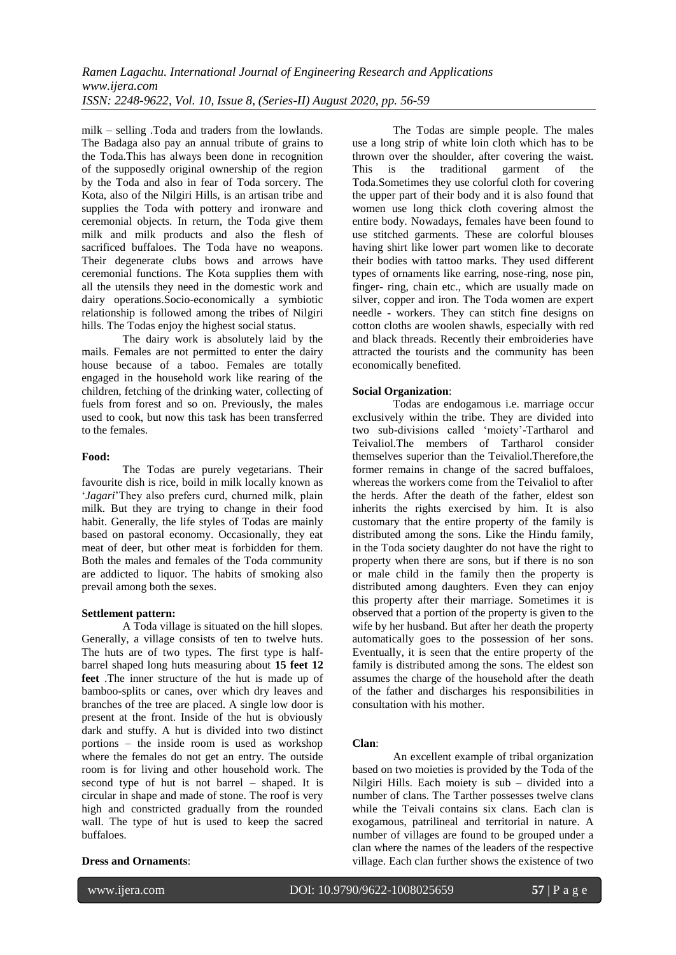milk – selling .Toda and traders from the lowlands. The Badaga also pay an annual tribute of grains to the Toda.This has always been done in recognition of the supposedly original ownership of the region by the Toda and also in fear of Toda sorcery. The Kota, also of the Nilgiri Hills, is an artisan tribe and supplies the Toda with pottery and ironware and ceremonial objects. In return, the Toda give them milk and milk products and also the flesh of sacrificed buffaloes. The Toda have no weapons. Their degenerate clubs bows and arrows have ceremonial functions. The Kota supplies them with all the utensils they need in the domestic work and dairy operations.Socio-economically a symbiotic relationship is followed among the tribes of Nilgiri hills. The Todas enjoy the highest social status.

The dairy work is absolutely laid by the mails. Females are not permitted to enter the dairy house because of a taboo. Females are totally engaged in the household work like rearing of the children, fetching of the drinking water, collecting of fuels from forest and so on. Previously, the males used to cook, but now this task has been transferred to the females.

#### **Food:**

The Todas are purely vegetarians. Their favourite dish is rice, boild in milk locally known as "*Jagari*"They also prefers curd, churned milk, plain milk. But they are trying to change in their food habit. Generally, the life styles of Todas are mainly based on pastoral economy. Occasionally, they eat meat of deer, but other meat is forbidden for them. Both the males and females of the Toda community are addicted to liquor. The habits of smoking also prevail among both the sexes.

#### **Settlement pattern:**

A Toda village is situated on the hill slopes. Generally, a village consists of ten to twelve huts. The huts are of two types. The first type is halfbarrel shaped long huts measuring about **15 feet 12 feet** .The inner structure of the hut is made up of bamboo-splits or canes, over which dry leaves and branches of the tree are placed. A single low door is present at the front. Inside of the hut is obviously dark and stuffy. A hut is divided into two distinct portions – the inside room is used as workshop where the females do not get an entry. The outside room is for living and other household work. The second type of hut is not barrel – shaped. It is circular in shape and made of stone. The roof is very high and constricted gradually from the rounded wall. The type of hut is used to keep the sacred buffaloes.

# **Dress and Ornaments**:

The Todas are simple people. The males use a long strip of white loin cloth which has to be thrown over the shoulder, after covering the waist. This is the traditional garment of the Toda.Sometimes they use colorful cloth for covering the upper part of their body and it is also found that women use long thick cloth covering almost the entire body. Nowadays, females have been found to use stitched garments. These are colorful blouses having shirt like lower part women like to decorate their bodies with tattoo marks. They used different types of ornaments like earring, nose-ring, nose pin, finger- ring, chain etc., which are usually made on silver, copper and iron. The Toda women are expert needle - workers. They can stitch fine designs on cotton cloths are woolen shawls, especially with red and black threads. Recently their embroideries have attracted the tourists and the community has been economically benefited.

#### **Social Organization**:

Todas are endogamous i.e. marriage occur exclusively within the tribe. They are divided into two sub-divisions called "moiety"-Tartharol and Teivaliol.The members of Tartharol consider themselves superior than the Teivaliol.Therefore,the former remains in change of the sacred buffaloes, whereas the workers come from the Teivaliol to after the herds. After the death of the father, eldest son inherits the rights exercised by him. It is also customary that the entire property of the family is distributed among the sons. Like the Hindu family, in the Toda society daughter do not have the right to property when there are sons, but if there is no son or male child in the family then the property is distributed among daughters. Even they can enjoy this property after their marriage. Sometimes it is observed that a portion of the property is given to the wife by her husband. But after her death the property automatically goes to the possession of her sons. Eventually, it is seen that the entire property of the family is distributed among the sons. The eldest son assumes the charge of the household after the death of the father and discharges his responsibilities in consultation with his mother.

# **Clan**:

An excellent example of tribal organization based on two moieties is provided by the Toda of the Nilgiri Hills. Each moiety is sub – divided into a number of clans. The Tarther possesses twelve clans while the Teivali contains six clans. Each clan is exogamous, patrilineal and territorial in nature. A number of villages are found to be grouped under a clan where the names of the leaders of the respective village. Each clan further shows the existence of two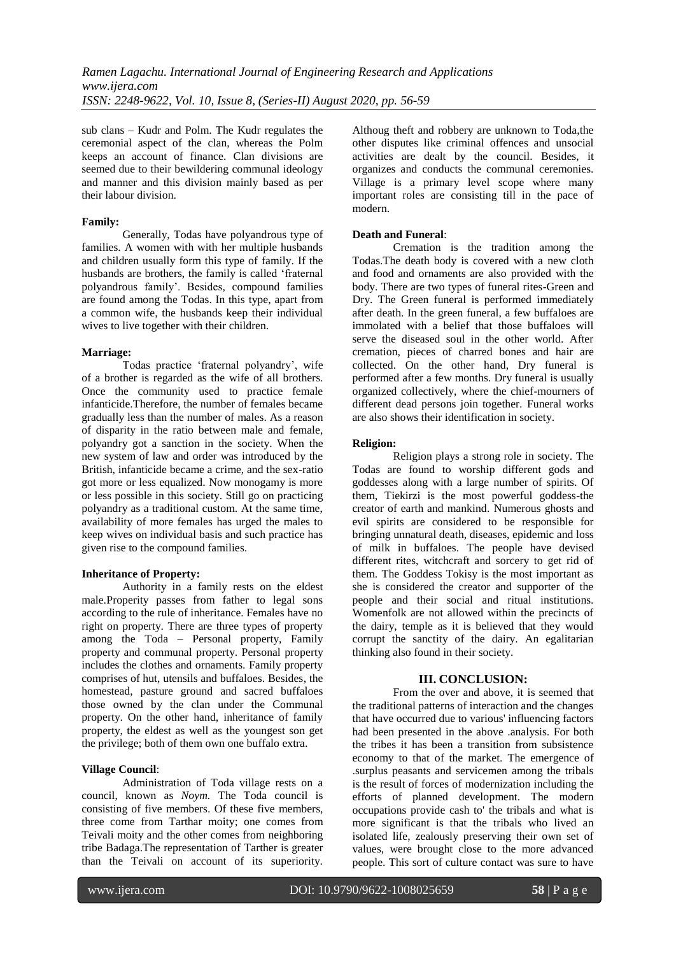sub clans – Kudr and Polm. The Kudr regulates the ceremonial aspect of the clan, whereas the Polm keeps an account of finance. Clan divisions are seemed due to their bewildering communal ideology and manner and this division mainly based as per their labour division.

#### **Family:**

Generally, Todas have polyandrous type of families. A women with with her multiple husbands and children usually form this type of family. If the husbands are brothers, the family is called "fraternal polyandrous family". Besides, compound families are found among the Todas. In this type, apart from a common wife, the husbands keep their individual wives to live together with their children.

#### **Marriage:**

Todas practice "fraternal polyandry", wife of a brother is regarded as the wife of all brothers. Once the community used to practice female infanticide.Therefore, the number of females became gradually less than the number of males. As a reason of disparity in the ratio between male and female, polyandry got a sanction in the society. When the new system of law and order was introduced by the British, infanticide became a crime, and the sex-ratio got more or less equalized. Now monogamy is more or less possible in this society. Still go on practicing polyandry as a traditional custom. At the same time, availability of more females has urged the males to keep wives on individual basis and such practice has given rise to the compound families.

# **Inheritance of Property:**

Authority in a family rests on the eldest male.Properity passes from father to legal sons according to the rule of inheritance. Females have no right on property. There are three types of property among the Toda – Personal property, Family property and communal property. Personal property includes the clothes and ornaments. Family property comprises of hut, utensils and buffaloes. Besides, the homestead, pasture ground and sacred buffaloes those owned by the clan under the Communal property. On the other hand, inheritance of family property, the eldest as well as the youngest son get the privilege; both of them own one buffalo extra.

# **Village Council**:

Administration of Toda village rests on a council, known as *Noym.* The Toda council is consisting of five members. Of these five members, three come from Tarthar moity; one comes from Teivali moity and the other comes from neighboring tribe Badaga.The representation of Tarther is greater than the Teivali on account of its superiority.

Althoug theft and robbery are unknown to Toda,the other disputes like criminal offences and unsocial activities are dealt by the council. Besides, it organizes and conducts the communal ceremonies. Village is a primary level scope where many important roles are consisting till in the pace of modern.

# **Death and Funeral**:

Cremation is the tradition among the Todas.The death body is covered with a new cloth and food and ornaments are also provided with the body. There are two types of funeral rites-Green and Dry. The Green funeral is performed immediately after death. In the green funeral, a few buffaloes are immolated with a belief that those buffaloes will serve the diseased soul in the other world. After cremation, pieces of charred bones and hair are collected. On the other hand, Dry funeral is performed after a few months. Dry funeral is usually organized collectively, where the chief-mourners of different dead persons join together. Funeral works are also shows their identification in society.

#### **Religion:**

Religion plays a strong role in society. The Todas are found to worship different gods and goddesses along with a large number of spirits. Of them, Tiekirzi is the most powerful goddess-the creator of earth and mankind. Numerous ghosts and evil spirits are considered to be responsible for bringing unnatural death, diseases, epidemic and loss of milk in buffaloes. The people have devised different rites, witchcraft and sorcery to get rid of them. The Goddess Tokisy is the most important as she is considered the creator and supporter of the people and their social and ritual institutions. Womenfolk are not allowed within the precincts of the dairy, temple as it is believed that they would corrupt the sanctity of the dairy. An egalitarian thinking also found in their society.

# **III. CONCLUSION:**

From the over and above, it is seemed that the traditional patterns of interaction and the changes that have occurred due to various' influencing factors had been presented in the above .analysis. For both the tribes it has been a transition from subsistence economy to that of the market. The emergence of .surplus peasants and servicemen among the tribals is the result of forces of modernization including the efforts of planned development. The modern occupations provide cash to' the tribals and what is more significant is that the tribals who lived an isolated life, zealously preserving their own set of values, were brought close to the more advanced people. This sort of culture contact was sure to have